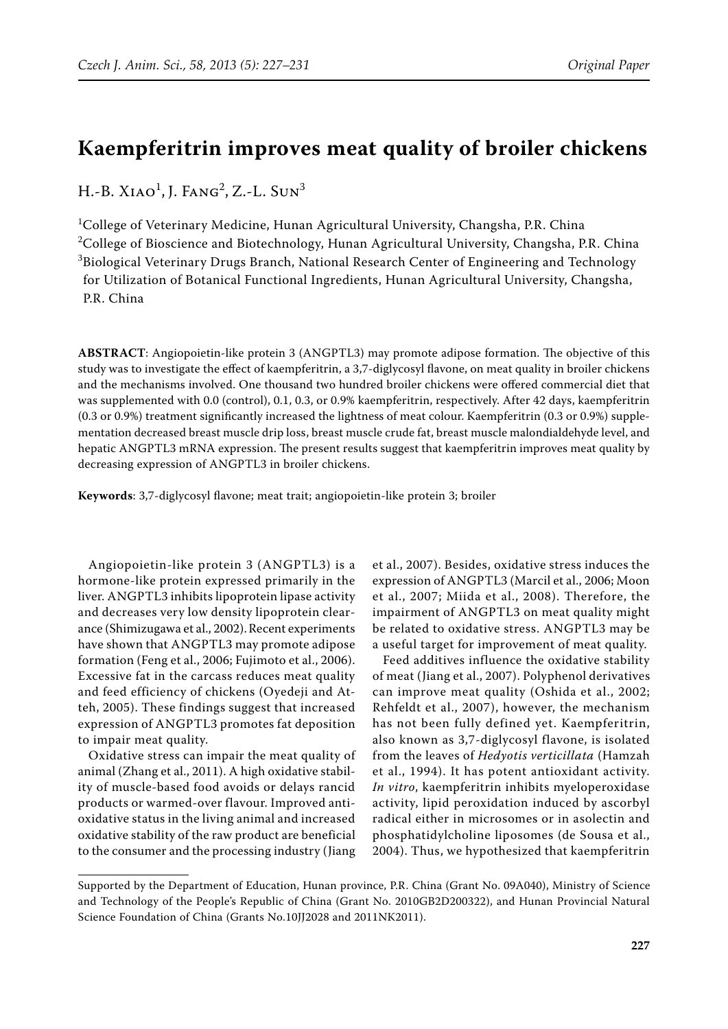# **Kaempferitrin improves meat quality of broiler chickens**

H.-B. Xiao<sup>1</sup>, J. Fang<sup>2</sup>, Z.-L. Sun<sup>3</sup>

<sup>1</sup>College of Veterinary Medicine, Hunan Agricultural University, Changsha, P.R. China  $^{2}$ College of Bioscience and Biotechnology, Hunan Agricultural University, Changsha, P.R. China  $^3$ Biological Veterinary Drugs Branch, National Research Center of Engineering and Technology for Utilization of Botanical Functional Ingredients, Hunan Agricultural University, Changsha, P.R. China

ABSTRACT: Angiopoietin-like protein 3 (ANGPTL3) may promote adipose formation. The objective of this study was to investigate the effect of kaempferitrin, a 3,7-diglycosyl flavone, on meat quality in broiler chickens and the mechanisms involved. One thousand two hundred broiler chickens were offered commercial diet that was supplemented with 0.0 (control), 0.1, 0.3, or 0.9% kaempferitrin, respectively. After 42 days, kaempferitrin (0.3 or 0.9%) treatment significantly increased the lightness of meat colour. Kaempferitrin (0.3 or 0.9%) supplementation decreased breast muscle drip loss, breast muscle crude fat, breast muscle malondialdehyde level, and hepatic ANGPTL3 mRNA expression. The present results suggest that kaempferitrin improves meat quality by decreasing expression of ANGPTL3 in broiler chickens.

**Keywords**: 3,7-diglycosyl flavone; meat trait; angiopoietin-like protein 3; broiler

Angiopoietin-like protein  $3$  (ANGPTL3) is a hormone-like protein expressed primarily in the liver. ANGPTL3 inhibits lipoprotein lipase activity and decreases very low density lipoprotein clearance (Shimizugawa et al., 2002). Recent experiments have shown that ANGPTL3 may promote adipose formation (Feng et al., 2006; Fujimoto et al., 2006). Excessive fat in the carcass reduces meat quality and feed efficiency of chickens (Oyedeji and Atteh, 2005). These findings suggest that increased expression of ANGPTL3 promotes fat deposition to impair meat quality.

Oxidative stress can impair the meat quality of animal (Zhang et al., 2011). A high oxidative stability of muscle-based food avoids or delays rancid products or warmed-over flavour. Improved antioxidative status in the living animal and increased oxidative stability of the raw product are beneficial to the consumer and the processing industry (Jiang

et al., 2007). Besides, oxidative stress induces the expression of ANGPTL3 (Marcil et al., 2006; Moon et al., 2007; Miida et al., 2008). Therefore, the impairment of ANGPTL3 on meat quality might be related to oxidative stress. ANGPTL3 may be a useful target for improvement of meat quality.

Feed additives influence the oxidative stability of meat (Jiang et al., 2007). Polyphenol derivatives can improve meat quality (Oshida et al., 2002; Rehfeldt et al., 2007), however, the mechanism has not been fully defined yet. Kaempferitrin, also known as 3,7-diglycosyl flavone, is isolated from the leaves of *Hedyotis verticillata* (Hamzah et al., 1994). It has potent antioxidant activity. *In vitro*, kaempferitrin inhibits myeloperoxidase activity, lipid peroxidation induced by ascorbyl radical either in microsomes or in asolectin and phosphatidylcholine liposomes (de Sousa et al., 2004). Thus, we hypothesized that kaempferitrin

Supported by the Department of Education, Hunan province, P.R. China (Grant No. 09A040), Ministry of Science and Technology of the People's Republic of China (Grant No. 2010GB2D200322), and Hunan Provincial Natural Science Foundation of China (Grants No.10JJ2028 and 2011NK2011).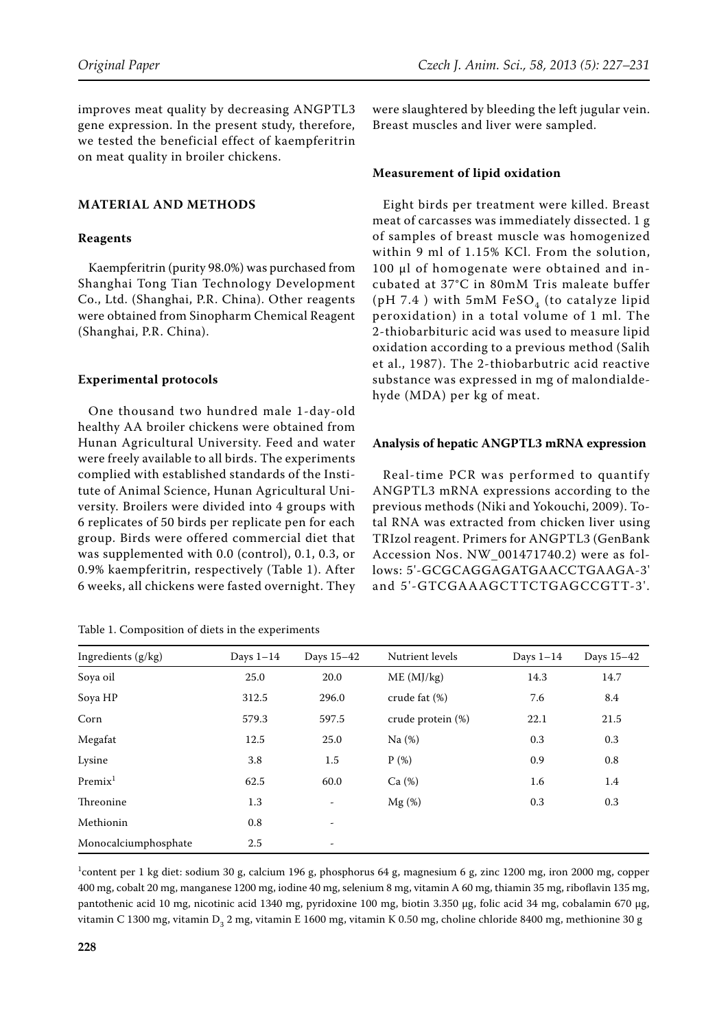improves meat quality by decreasing ANGPTL3 gene expression. In the present study, therefore, we tested the beneficial effect of kaempferitrin on meat quality in broiler chickens.

# **MATERIAL AND METHODS**

#### **Reagents**

Kaempferitrin (purity 98.0%) was purchased from Shanghai Tong Tian Technology Development Co., Ltd. (Shanghai, P.R. China). Other reagents were obtained from Sinopharm Chemical Reagent (Shanghai, P.R. China).

#### **Experimental protocols**

One thousand two hundred male 1-day-old healthy AA broiler chickens were obtained from Hunan Agricultural University. Feed and water were freely available to all birds. The experiments complied with established standards of the Institute of Animal Science, Hunan Agricultural University. Broilers were divided into 4 groups with 6 replicates of 50 birds per replicate pen for each group. Birds were offered commercial diet that was supplemented with 0.0 (control), 0.1, 0.3, or 0.9% kaempferitrin, respectively (Table 1). After 6 weeks, all chickens were fasted overnight. They

Table 1. Composition of diets in the experiments

were slaughtered by bleeding the left jugular vein. Breast muscles and liver were sampled.

#### **Measurement of lipid oxidation**

Eight birds per treatment were killed. Breast meat of carcasses was immediately dissected. 1 g of samples of breast muscle was homogenized within 9 ml of 1.15% KCl. From the solution, 100 µl of homogenate were obtained and incubated at 37°C in 80mM Tris maleate buffer (pH 7.4 ) with 5mM FeSO<sub>4</sub> (to catalyze lipid peroxidation) in a total volume of 1 ml. The 2-thiobarbituric acid was used to measure lipid oxidation according to a previous method (Salih et al., 1987). The 2-thiobarbutric acid reactive substance was expressed in mg of malondialdehyde (MDA) per kg of meat.

#### Analysis of hepatic ANGPTL3 mRNA expression

Real-time PCR was performed to quantify ANGPTL3 mRNA expressions according to the previous methods (Niki and Yokouchi, 2009). Total RNA was extracted from chicken liver using TRIzol reagent. Primers for ANGPTL3 (GenBank Accession Nos. NW\_001471740.2) were as follows: 5'-GCGCAGGAGATGAACCTGAAGA-3' and 5'-GTCGAAAGCTTCTGAGCCGTT-3'.

| Ingredients (g/kg)   | Days $1-14$ | Days 15-42 | Nutrient levels   | Days $1-14$ | Days 15-42 |
|----------------------|-------------|------------|-------------------|-------------|------------|
| Soya oil             | 25.0        | 20.0       | ME (MJ/kg)        | 14.3        | 14.7       |
| Soya HP              | 312.5       | 296.0      | crude fat (%)     | 7.6         | 8.4        |
| Corn                 | 579.3       | 597.5      | crude protein (%) | 22.1        | 21.5       |
| Megafat              | 12.5        | 25.0       | Na(%)             | 0.3         | 0.3        |
| Lysine               | 3.8         | 1.5        | $P(\%)$           | 0.9         | 0.8        |
| Premix <sup>1</sup>  | 62.5        | 60.0       | Ca (%)            | 1.6         | 1.4        |
| Threonine            | 1.3         | -          | $Mg(\%)$          | 0.3         | 0.3        |
| Methionin            | 0.8         | -          |                   |             |            |
| Monocalciumphosphate | 2.5         | -          |                   |             |            |

<sup>1</sup>content per 1 kg diet: sodium 30 g, calcium 196 g, phosphorus 64 g, magnesium 6 g, zinc 1200 mg, iron 2000 mg, copper 400 mg, cobalt 20 mg, manganese 1200 mg, iodine 40 mg, selenium 8 mg, vitamin A 60 mg, thiamin 35 mg, riboflavin 135 mg, pantothenic acid 10 mg, nicotinic acid 1340 mg, pyridoxine 100 mg, biotin 3.350 μg, folic acid 34 mg, cobalamin 670 μg, vitamin C 1300 mg, vitamin D<sub>3</sub> 2 mg, vitamin E 1600 mg, vitamin K 0.50 mg, choline chloride 8400 mg, methionine 30 g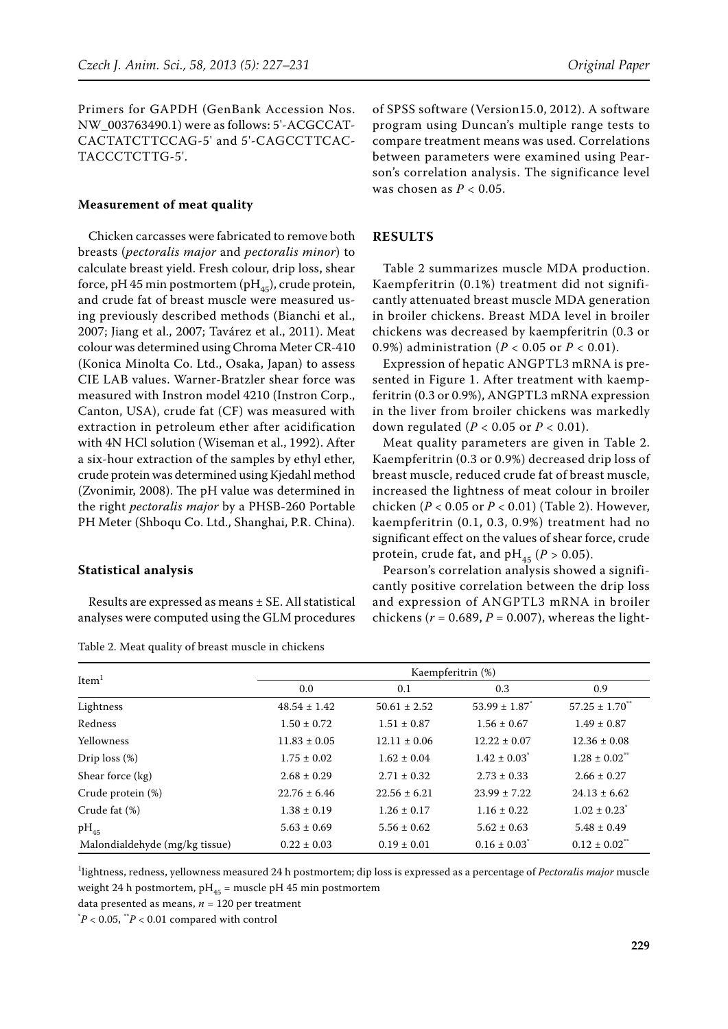Primers for GAPDH (GenBank Accession Nos. NW\_003763490.1) were as follows: 5'-ACGCCAT-CACTATCTTCCAG-5' and 5'-CAGCCTTCAC-TACCCTCTTG-5'.

#### **Measurement of meat quality**

Chicken carcasses were fabricated to remove both breasts (*pectoralis major* and *pectoralis minor*) to calculate breast yield. Fresh colour, drip loss, shear force, pH 45 min postmortem (pH<sub>45</sub>), crude protein, and crude fat of breast muscle were measured using previously described methods (Bianchi et al., 2007; Jiang et al., 2007; Tavárez et al., 2011). Meat colour was determined using Chroma Meter CR-410 (Konica Minolta Co. Ltd., Osaka, Japan) to assess CIE LAB values. Warner-Bratzler shear force was measured with Instron model 4210 (Instron Corp., Canton, USA), crude fat (CF) was measured with extraction in petroleum ether after acidification with 4N HCl solution (Wiseman et al., 1992). After a six-hour extraction of the samples by ethyl ether, crude protein was determined using Kjedahl method (Zvonimir, 2008). The pH value was determined in the right *pectoralis major* by a PHSB-260 Portable PH Meter (Shboqu Co. Ltd., Shanghai, P.R. China).

# **Statistical analysis**

Results are expressed as means ± SE. All statistical analyses were computed using the GLM procedures

|  |  |  | Table 2. Meat quality of breast muscle in chickens |  |
|--|--|--|----------------------------------------------------|--|
|--|--|--|----------------------------------------------------|--|

of SPSS software (Version15.0, 2012). A software program using Duncan's multiple range tests to compare treatment means was used. Correlations between parameters were examined using Pearson's correlation analysis. The significance level was chosen as *P* < 0.05.

#### **RESULTS**

Table 2 summarizes muscle MDA production. Kaempferitrin (0.1%) treatment did not significantly attenuated breast muscle MDA generation in broiler chickens. Breast MDA level in broiler chickens was decreased by kaempferitrin (0.3 or 0.9%) administration (*P* < 0.05 or *P* < 0.01).

Expression of hepatic ANGPTL3 mRNA is presented in Figure 1. After treatment with kaempferitrin (0.3 or 0.9%), ANGPTL3 mRNA expression in the liver from broiler chickens was markedly down regulated (*P* < 0.05 or *P* < 0.01).

Meat quality parameters are given in Table 2. Kaempferitrin (0.3 or 0.9%) decreased drip loss of breast muscle, reduced crude fat of breast muscle, increased the lightness of meat colour in broiler chicken (*P* < 0.05 or *P* < 0.01) (Table 2). However, kaempferitrin (0.1, 0.3, 0.9%) treatment had no significant effect on the values of shear force, crude protein, crude fat, and  $pH_{45}$  ( $P > 0.05$ ).

Pearson's correlation analysis showed a significantly positive correlation between the drip loss and expression of ANGPTL3 mRNA in broiler chickens (*r* = 0.689, *P* = 0.007), whereas the light-

| Item <sup>1</sup>              | Kaempferitrin (%) |                  |                               |                               |  |  |
|--------------------------------|-------------------|------------------|-------------------------------|-------------------------------|--|--|
|                                | 0.0               | 0.1              | 0.3                           | 0.9                           |  |  |
| Lightness                      | $48.54 \pm 1.42$  | $50.61 \pm 2.52$ | $53.99 \pm 1.87$ <sup>*</sup> | $57.25 \pm 1.70$              |  |  |
| Redness                        | $1.50 \pm 0.72$   | $1.51 \pm 0.87$  | $1.56 \pm 0.67$               | $1.49 \pm 0.87$               |  |  |
| Yellowness                     | $11.83 \pm 0.05$  | $12.11 \pm 0.06$ | $12.22 \pm 0.07$              | $12.36 \pm 0.08$              |  |  |
| Drip $loss (\%)$               | $1.75 \pm 0.02$   | $1.62 \pm 0.04$  | $1.42 \pm 0.03$ <sup>*</sup>  | $1.28 \pm 0.02$ <sup>**</sup> |  |  |
| Shear force (kg)               | $2.68 \pm 0.29$   | $2.71 \pm 0.32$  | $2.73 \pm 0.33$               | $2.66 \pm 0.27$               |  |  |
| Crude protein (%)              | $22.76 \pm 6.46$  | $22.56 \pm 6.21$ | $23.99 \pm 7.22$              | $24.13 \pm 6.62$              |  |  |
| Crude fat (%)                  | $1.38 \pm 0.19$   | $1.26 \pm 0.17$  | $1.16 \pm 0.22$               | $1.02 \pm 0.23$ <sup>*</sup>  |  |  |
| $pH_{45}$                      | $5.63 \pm 0.69$   | $5.56 \pm 0.62$  | $5.62 \pm 0.63$               | $5.48 \pm 0.49$               |  |  |
| Malondialdehyde (mg/kg tissue) | $0.22 \pm 0.03$   | $0.19 \pm 0.01$  | $0.16 \pm 0.03$ <sup>*</sup>  | $0.12 \pm 0.02$ <sup>**</sup> |  |  |

1 lightness, redness, yellowness measured 24 h postmortem; dip loss is expressed as a percentage of *Pectoralis major* muscle weight 24 h postmortem,  $pH_{45}$  = muscle pH 45 min postmortem

data presented as means, *n* = 120 per treatment

 $^{\ast}P < 0.05, ^{\ast\ast}P < 0.01$  compared with control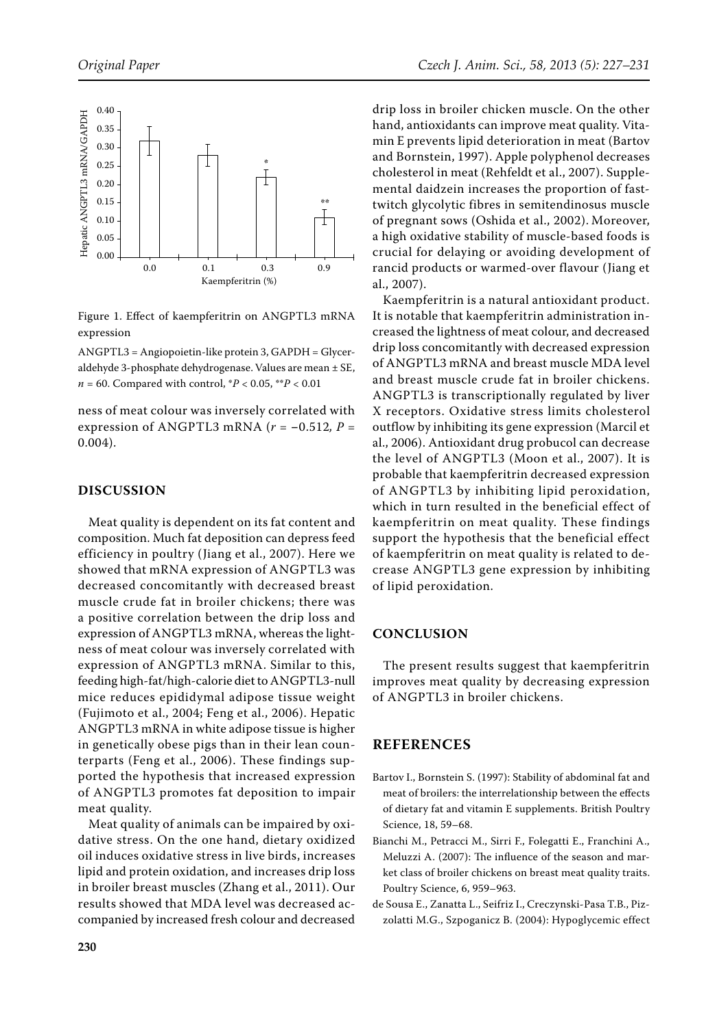

Figure 1. Effect of kaempferitrin on ANGPTL3 mRNA expression

ANGPTL3 = Angiopoietin-like protein 3, GAPDH = Glyceraldehyde 3-phosphate dehydrogenase. Values are mean ± SE, *n* = 60. Compared with control, \**P* < 0.05, \*\**P* < 0.01

ness of meat colour was inversely correlated with expression of ANGPTL3 mRNA ( $r = -0.512$ ,  $P =$ 0.004).

# **DISCUSSION**

Meat quality is dependent on its fat content and composition. Much fat deposition can depress feed efficiency in poultry (Jiang et al., 2007). Here we showed that mRNA expression of ANGPTL3 was decreased concomitantly with decreased breast muscle crude fat in broiler chickens; there was a positive correlation between the drip loss and expression of ANGPTL3 mRNA, whereas the lightness of meat colour was inversely correlated with expression of ANGPTL3 mRNA. Similar to this, feeding high-fat/high-calorie diet to ANGPTL3-null mice reduces epididymal adipose tissue weight (Fujimoto et al., 2004; Feng et al., 2006). Hepatic ANGPTL3 mRNA in white adipose tissue is higher in genetically obese pigs than in their lean counterparts (Feng et al., 2006). These findings supported the hypothesis that increased expression of ANGPTL3 promotes fat deposition to impair meat quality.

Meat quality of animals can be impaired by oxidative stress. On the one hand, dietary oxidized oil induces oxidative stress in live birds, increases lipid and protein oxidation, and increases drip loss in broiler breast muscles (Zhang et al., 2011). Our results showed that MDA level was decreased accompanied by increased fresh colour and decreased drip loss in broiler chicken muscle. On the other hand, antioxidants can improve meat quality. Vitamin E prevents lipid deterioration in meat (Bartov and Bornstein, 1997). Apple polyphenol decreases cholesterol in meat (Rehfeldt et al., 2007). Supplemental daidzein increases the proportion of fasttwitch glycolytic fibres in semitendinosus muscle of pregnant sows (Oshida et al., 2002). Moreover, a high oxidative stability of muscle-based foods is crucial for delaying or avoiding development of rancid products or warmed-over flavour (Jiang et al., 2007).

Kaempferitrin is a natural antioxidant product. It is notable that kaempferitrin administration increased the lightness of meat colour, and decreased drip loss concomitantly with decreased expression of ANGPTL3 mRNA and breast muscle MDA level and breast muscle crude fat in broiler chickens. ANGPTL3 is transcriptionally regulated by liver X receptors. Oxidative stress limits cholesterol outflow by inhibiting its gene expression (Marcil et al., 2006). Antioxidant drug probucol can decrease the level of ANGPTL3 (Moon et al., 2007). It is probable that kaempferitrin decreased expression of ANGPTL3 by inhibiting lipid peroxidation, which in turn resulted in the beneficial effect of kaempferitrin on meat quality. These findings support the hypothesis that the beneficial effect of kaempferitrin on meat quality is related to decrease ANGPTL3 gene expression by inhibiting of lipid peroxidation.

# **CONCLUSION**

The present results suggest that kaempferitrin improves meat quality by decreasing expression of ANGPTL3 in broiler chickens.

# **REFERENCES**

- Bartov I., Bornstein S. (1997): Stability of abdominal fat and meat of broilers: the interrelationship between the effects of dietary fat and vitamin E supplements. British Poultry Science, 18, 59–68.
- Bianchi M., Petracci M., Sirri F., Folegatti E., Franchini A., Meluzzi A. (2007): The influence of the season and market class of broiler chickens on breast meat quality traits. Poultry Science, 6, 959–963.
- de Sousa E., Zanatta L., Seifriz I., Creczynski-Pasa T.B., Pizzolatti M.G., Szpoganicz B. (2004): Hypoglycemic effect